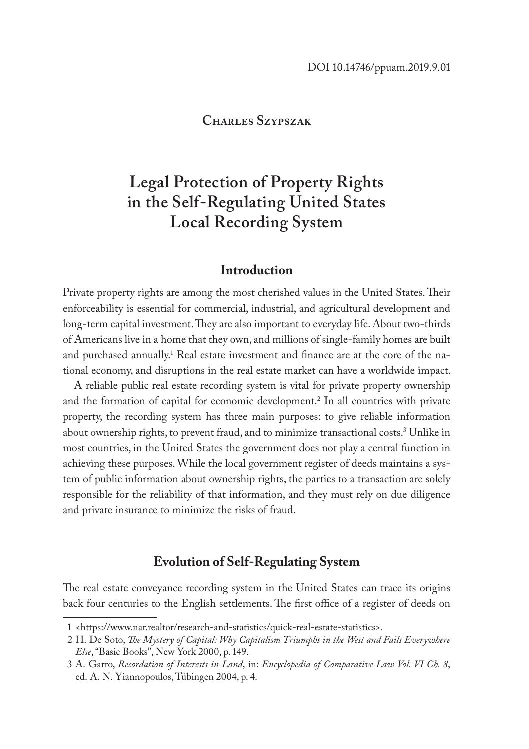### **Charles Szypszak**

# **Legal Protection of Property Rights in the Self-Regulating United States Local Recording System**

### **Introduction**

Private property rights are among the most cherished values in the United States. Their enforceability is essential for commercial, industrial, and agricultural development and long-term capital investment. They are also important to everyday life. About two-thirds of Americans live in a home that they own, and millions of single-family homes are built and purchased annually.<sup>1</sup> Real estate investment and finance are at the core of the national economy, and disruptions in the real estate market can have a worldwide impact.

A reliable public real estate recording system is vital for private property ownership and the formation of capital for economic development.2 In all countries with private property, the recording system has three main purposes: to give reliable information about ownership rights, to prevent fraud, and to minimize transactional costs.3 Unlike in most countries, in the United States the government does not play a central function in achieving these purposes. While the local government register of deeds maintains a system of public information about ownership rights, the parties to a transaction are solely responsible for the reliability of that information, and they must rely on due diligence and private insurance to minimize the risks of fraud.

# **Evolution of Self-Regulating System**

The real estate conveyance recording system in the United States can trace its origins back four centuries to the English settlements. The first office of a register of deeds on

<sup>1</sup> <https://www.nar.realtor/research-and-statistics/quick-real-estate-statistics>.

<sup>2</sup> H. De Soto, *The Mystery of Capital: Why Capitalism Triumphs in the West and Fails Everywhere Else*, "Basic Books", New York 2000, p. 149.

<sup>3</sup> A. Garro, *Recordation of Interests in Land*, in: *Encyclopedia of Comparative Law Vol. VI Ch. 8*, ed. A. N. Yiannopoulos, Tübingen 2004, p. 4.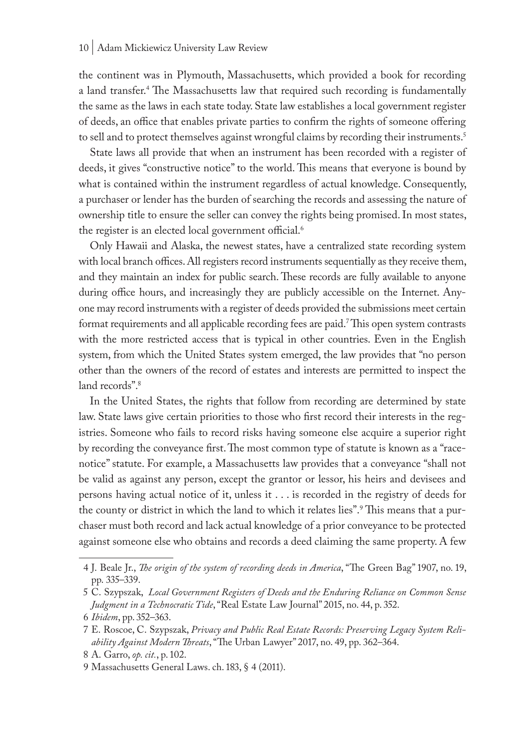the continent was in Plymouth, Massachusetts, which provided a book for recording a land transfer.4 The Massachusetts law that required such recording is fundamentally the same as the laws in each state today. State law establishes a local government register of deeds, an office that enables private parties to confirm the rights of someone offering to sell and to protect themselves against wrongful claims by recording their instruments.<sup>5</sup>

State laws all provide that when an instrument has been recorded with a register of deeds, it gives "constructive notice" to the world. This means that everyone is bound by what is contained within the instrument regardless of actual knowledge. Consequently, a purchaser or lender has the burden of searching the records and assessing the nature of ownership title to ensure the seller can convey the rights being promised. In most states, the register is an elected local government official.<sup>6</sup>

Only Hawaii and Alaska, the newest states, have a centralized state recording system with local branch offices. All registers record instruments sequentially as they receive them, and they maintain an index for public search. These records are fully available to anyone during office hours, and increasingly they are publicly accessible on the Internet. Anyone may record instruments with a register of deeds provided the submissions meet certain format requirements and all applicable recording fees are paid.<sup>7</sup>This open system contrasts with the more restricted access that is typical in other countries. Even in the English system, from which the United States system emerged, the law provides that "no person other than the owners of the record of estates and interests are permitted to inspect the land records".<sup>8</sup>

In the United States, the rights that follow from recording are determined by state law. State laws give certain priorities to those who first record their interests in the registries. Someone who fails to record risks having someone else acquire a superior right by recording the conveyance first. The most common type of statute is known as a "racenotice" statute. For example, a Massachusetts law provides that a conveyance "shall not be valid as against any person, except the grantor or lessor, his heirs and devisees and persons having actual notice of it, unless it . . . is recorded in the registry of deeds for the county or district in which the land to which it relates lies".<sup>9</sup> This means that a purchaser must both record and lack actual knowledge of a prior conveyance to be protected against someone else who obtains and records a deed claiming the same property. A few

<sup>4</sup> J. Beale Jr., *The origin of the system of recording deeds in America*, "The Green Bag" 1907, no. 19, pp. 335–339.

<sup>5</sup> C. Szypszak, *Local Government Registers of Deeds and the Enduring Reliance on Common Sense Judgment in a Technocratic Tide*, "Real Estate Law Journal" 2015, no. 44, p. 352. 6 *Ibidem*, pp. 352–363.

<sup>7</sup> E. Roscoe, C. Szypszak, *Privacy and Public Real Estate Records: Preserving Legacy System Reliability Against Modern Threats*, "The Urban Lawyer" 2017, no. 49, pp. 362–364.

<sup>8</sup> A. Garro, *op. cit.*, p. 102.

<sup>9</sup> Massachusetts General Laws. ch. 183, § 4 (2011).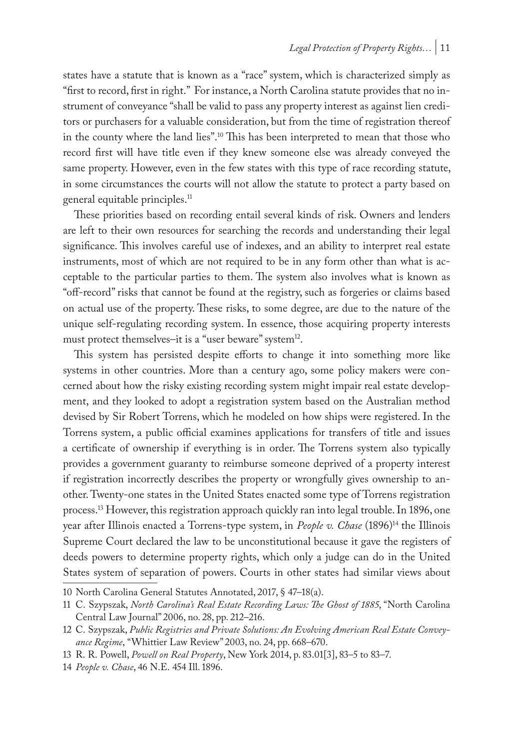states have a statute that is known as a "race" system, which is characterized simply as "first to record, first in right." For instance, a North Carolina statute provides that no instrument of conveyance "shall be valid to pass any property interest as against lien creditors or purchasers for a valuable consideration, but from the time of registration thereof in the county where the land lies".10 This has been interpreted to mean that those who record first will have title even if they knew someone else was already conveyed the same property. However, even in the few states with this type of race recording statute, in some circumstances the courts will not allow the statute to protect a party based on general equitable principles.11

These priorities based on recording entail several kinds of risk. Owners and lenders are left to their own resources for searching the records and understanding their legal significance. This involves careful use of indexes, and an ability to interpret real estate instruments, most of which are not required to be in any form other than what is acceptable to the particular parties to them. The system also involves what is known as "off-record" risks that cannot be found at the registry, such as forgeries or claims based on actual use of the property. These risks, to some degree, are due to the nature of the unique self-regulating recording system. In essence, those acquiring property interests must protect themselves–it is a "user beware" system<sup>12</sup>.

This system has persisted despite efforts to change it into something more like systems in other countries. More than a century ago, some policy makers were concerned about how the risky existing recording system might impair real estate development, and they looked to adopt a registration system based on the Australian method devised by Sir Robert Torrens, which he modeled on how ships were registered. In the Torrens system, a public official examines applications for transfers of title and issues a certificate of ownership if everything is in order. The Torrens system also typically provides a government guaranty to reimburse someone deprived of a property interest if registration incorrectly describes the property or wrongfully gives ownership to another. Twenty-one states in the United States enacted some type of Torrens registration process.13 However, this registration approach quickly ran into legal trouble. In 1896, one year after Illinois enacted a Torrens-type system, in *People v. Chase* (1896)<sup>14</sup> the Illinois Supreme Court declared the law to be unconstitutional because it gave the registers of deeds powers to determine property rights, which only a judge can do in the United States system of separation of powers. Courts in other states had similar views about

<sup>10</sup> North Carolina General Statutes Annotated, 2017, § 47–18(a).

<sup>11</sup> C. Szypszak, *North Carolina's Real Estate Recording Laws: The Ghost of 1885*, "North Carolina Central Law Journal" 2006, no. 28, pp. 212–216.

<sup>12</sup> C. Szypszak, *Public Registries and Private Solutions: An Evolving American Real Estate Conveyance Regime*, "Whittier Law Review" 2003, no. 24, pp. 668–670.

<sup>13</sup> R. R. Powell, *Powell on Real Property*, New York 2014, p. 83.01[3], 83–5 to 83–7.

<sup>14</sup> *People v. Chase*, 46 N.E. 454 Ill. 1896.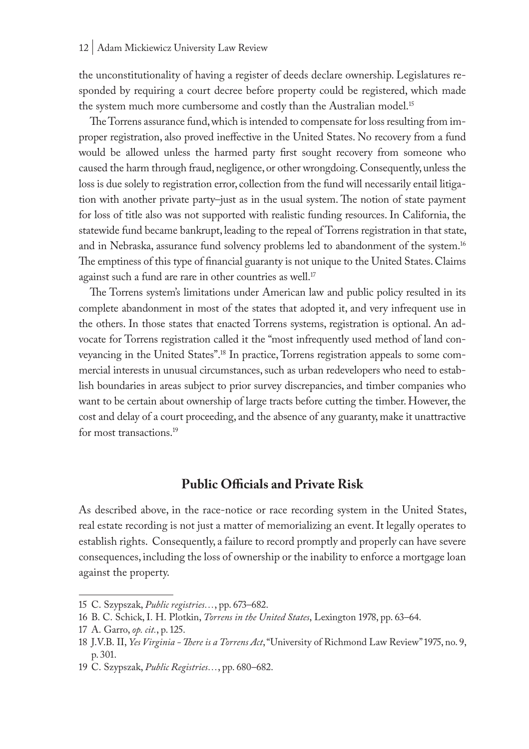the unconstitutionality of having a register of deeds declare ownership. Legislatures responded by requiring a court decree before property could be registered, which made the system much more cumbersome and costly than the Australian model.<sup>15</sup>

The Torrens assurance fund, which is intended to compensate for loss resulting from improper registration, also proved ineffective in the United States. No recovery from a fund would be allowed unless the harmed party first sought recovery from someone who caused the harm through fraud, negligence, or other wrongdoing. Consequently, unless the loss is due solely to registration error, collection from the fund will necessarily entail litigation with another private party–just as in the usual system. The notion of state payment for loss of title also was not supported with realistic funding resources. In California, the statewide fund became bankrupt, leading to the repeal of Torrens registration in that state, and in Nebraska, assurance fund solvency problems led to abandonment of the system.16 The emptiness of this type of financial guaranty is not unique to the United States. Claims against such a fund are rare in other countries as well.<sup>17</sup>

The Torrens system's limitations under American law and public policy resulted in its complete abandonment in most of the states that adopted it, and very infrequent use in the others. In those states that enacted Torrens systems, registration is optional. An advocate for Torrens registration called it the "most infrequently used method of land conveyancing in the United States".18 In practice, Torrens registration appeals to some commercial interests in unusual circumstances, such as urban redevelopers who need to establish boundaries in areas subject to prior survey discrepancies, and timber companies who want to be certain about ownership of large tracts before cutting the timber. However, the cost and delay of a court proceeding, and the absence of any guaranty, make it unattractive for most transactions.<sup>19</sup>

## **Public Officials and Private Risk**

As described above, in the race-notice or race recording system in the United States, real estate recording is not just a matter of memorializing an event. It legally operates to establish rights. Consequently, a failure to record promptly and properly can have severe consequences, including the loss of ownership or the inability to enforce a mortgage loan against the property.

<sup>15</sup> C. Szypszak, *Public registries…*, pp. 673–682.

<sup>16</sup> B. C. Schick, I. H. Plotkin, *Torrens in the United States*, Lexington 1978, pp. 63–64.

<sup>17</sup> A. Garro, *op. cit.*, p. 125.

<sup>18</sup> J.V.B. II, *Yes Virginia - There is a Torrens Act*, "University of Richmond Law Review" 1975, no. 9, p. 301.

<sup>19</sup> C. Szypszak, *Public Registries…*, pp. 680–682.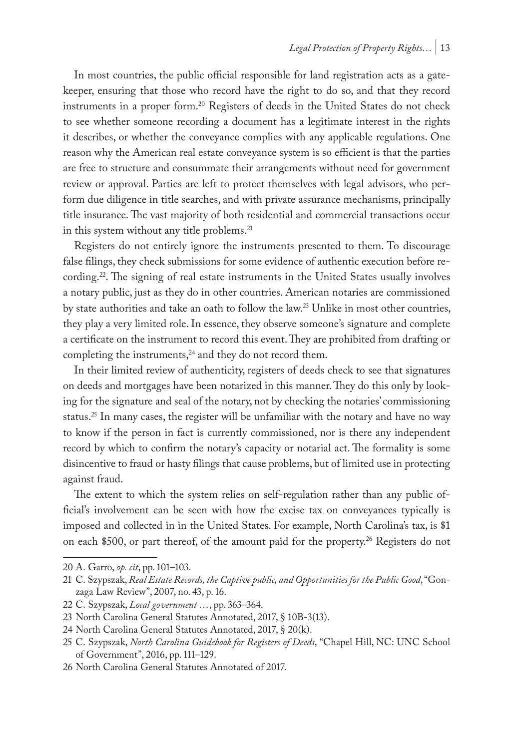In most countries, the public official responsible for land registration acts as a gatekeeper, ensuring that those who record have the right to do so, and that they record instruments in a proper form.<sup>20</sup> Registers of deeds in the United States do not check to see whether someone recording a document has a legitimate interest in the rights it describes, or whether the conveyance complies with any applicable regulations. One reason why the American real estate conveyance system is so efficient is that the parties are free to structure and consummate their arrangements without need for government review or approval. Parties are left to protect themselves with legal advisors, who perform due diligence in title searches, and with private assurance mechanisms, principally title insurance. The vast majority of both residential and commercial transactions occur in this system without any title problems.<sup>21</sup>

Registers do not entirely ignore the instruments presented to them. To discourage false filings, they check submissions for some evidence of authentic execution before recording.<sup>22</sup>. The signing of real estate instruments in the United States usually involves a notary public, just as they do in other countries. American notaries are commissioned by state authorities and take an oath to follow the law.23 Unlike in most other countries, they play a very limited role. In essence, they observe someone's signature and complete a certificate on the instrument to record this event. They are prohibited from drafting or completing the instruments, $24$  and they do not record them.

In their limited review of authenticity, registers of deeds check to see that signatures on deeds and mortgages have been notarized in this manner. They do this only by looking for the signature and seal of the notary, not by checking the notaries' commissioning status.<sup>25</sup> In many cases, the register will be unfamiliar with the notary and have no way to know if the person in fact is currently commissioned, nor is there any independent record by which to confirm the notary's capacity or notarial act. The formality is some disincentive to fraud or hasty filings that cause problems, but of limited use in protecting against fraud.

The extent to which the system relies on self-regulation rather than any public official's involvement can be seen with how the excise tax on conveyances typically is imposed and collected in in the United States. For example, North Carolina's tax, is \$1 on each \$500, or part thereof, of the amount paid for the property.<sup>26</sup> Registers do not

<sup>20</sup> A. Garro, *op. cit*, pp. 101–103.

<sup>21</sup> C. Szypszak, *Real Estate Records, the Captive public, and Opportunities for the Public Good*, "Gonzaga Law Review", 2007, no. 43, p. 16.

<sup>22</sup> C. Szypszak, *Local government …*, pp. 363–364.

<sup>23</sup> North Carolina General Statutes Annotated, 2017, § 10B-3(13).

<sup>24</sup> North Carolina General Statutes Annotated, 2017, § 20(k).

<sup>25</sup> C. Szypszak, *North Carolina Guidebook for Registers of Deeds*, "Chapel Hill, NC: UNC School of Government", 2016, pp. 111–129.

<sup>26</sup> North Carolina General Statutes Annotated of 2017.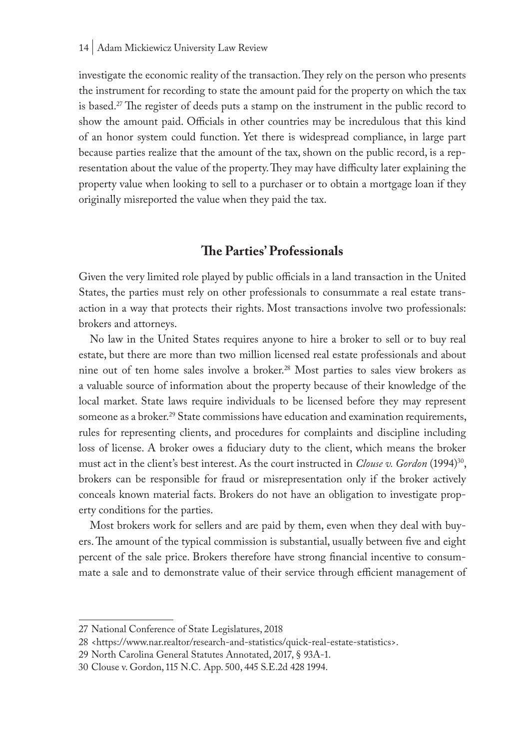investigate the economic reality of the transaction. They rely on the person who presents the instrument for recording to state the amount paid for the property on which the tax is based.27 The register of deeds puts a stamp on the instrument in the public record to show the amount paid. Officials in other countries may be incredulous that this kind of an honor system could function. Yet there is widespread compliance, in large part because parties realize that the amount of the tax, shown on the public record, is a representation about the value of the property. They may have difficulty later explaining the property value when looking to sell to a purchaser or to obtain a mortgage loan if they originally misreported the value when they paid the tax.

# **The Parties' Professionals**

Given the very limited role played by public officials in a land transaction in the United States, the parties must rely on other professionals to consummate a real estate transaction in a way that protects their rights. Most transactions involve two professionals: brokers and attorneys.

No law in the United States requires anyone to hire a broker to sell or to buy real estate, but there are more than two million licensed real estate professionals and about nine out of ten home sales involve a broker.28 Most parties to sales view brokers as a valuable source of information about the property because of their knowledge of the local market. State laws require individuals to be licensed before they may represent someone as a broker.<sup>29</sup> State commissions have education and examination requirements, rules for representing clients, and procedures for complaints and discipline including loss of license. A broker owes a fiduciary duty to the client, which means the broker must act in the client's best interest. As the court instructed in *Clouse v. Gordon* (1994)30, brokers can be responsible for fraud or misrepresentation only if the broker actively conceals known material facts. Brokers do not have an obligation to investigate property conditions for the parties.

Most brokers work for sellers and are paid by them, even when they deal with buyers. The amount of the typical commission is substantial, usually between five and eight percent of the sale price. Brokers therefore have strong financial incentive to consummate a sale and to demonstrate value of their service through efficient management of

<sup>27</sup> National Conference of State Legislatures, 2018

<sup>28</sup> <https://www.nar.realtor/research-and-statistics/quick-real-estate-statistics>.

<sup>29</sup> North Carolina General Statutes Annotated, 2017, § 93A-1.

<sup>30</sup> Clouse v. Gordon, 115 N.C. App. 500, 445 S.E.2d 428 1994.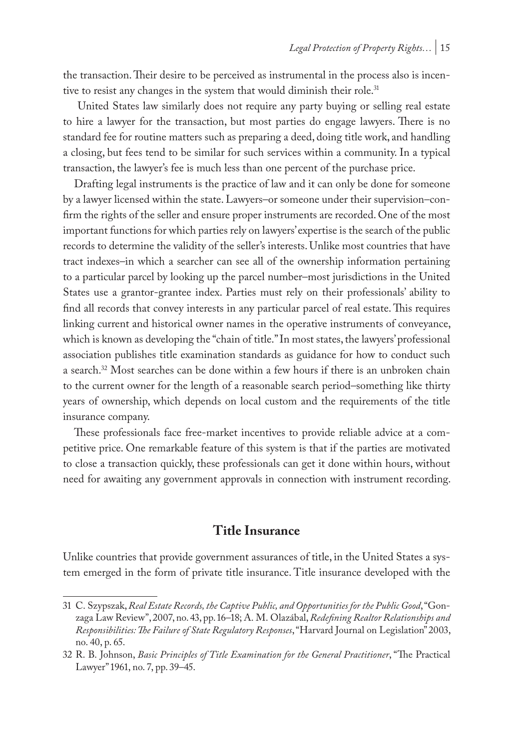the transaction. Their desire to be perceived as instrumental in the process also is incentive to resist any changes in the system that would diminish their role.<sup>31</sup>

 United States law similarly does not require any party buying or selling real estate to hire a lawyer for the transaction, but most parties do engage lawyers. There is no standard fee for routine matters such as preparing a deed, doing title work, and handling a closing, but fees tend to be similar for such services within a community. In a typical transaction, the lawyer's fee is much less than one percent of the purchase price.

Drafting legal instruments is the practice of law and it can only be done for someone by a lawyer licensed within the state. Lawyers–or someone under their supervision–confirm the rights of the seller and ensure proper instruments are recorded. One of the most important functions for which parties rely on lawyers' expertise is the search of the public records to determine the validity of the seller's interests. Unlike most countries that have tract indexes–in which a searcher can see all of the ownership information pertaining to a particular parcel by looking up the parcel number–most jurisdictions in the United States use a grantor-grantee index. Parties must rely on their professionals' ability to find all records that convey interests in any particular parcel of real estate. This requires linking current and historical owner names in the operative instruments of conveyance, which is known as developing the "chain of title." In most states, the lawyers' professional association publishes title examination standards as guidance for how to conduct such a search.32 Most searches can be done within a few hours if there is an unbroken chain to the current owner for the length of a reasonable search period–something like thirty years of ownership, which depends on local custom and the requirements of the title insurance company.

These professionals face free-market incentives to provide reliable advice at a competitive price. One remarkable feature of this system is that if the parties are motivated to close a transaction quickly, these professionals can get it done within hours, without need for awaiting any government approvals in connection with instrument recording.

# **Title Insurance**

Unlike countries that provide government assurances of title, in the United States a system emerged in the form of private title insurance. Title insurance developed with the

<sup>31</sup> C. Szypszak, *Real Estate Records, the Captive Public, and Opportunities for the Public Good*, "Gonzaga Law Review", 2007, no. 43, pp. 16–18; A. M. Olazábal, *Redefining Realtor Relationships and Responsibilities: The Failure of State Regulatory Responses*, "Harvard Journal on Legislation" 2003, no. 40, p. 65.

<sup>32</sup> R. B. Johnson, *Basic Principles of Title Examination for the General Practitioner*, "The Practical Lawyer" 1961, no. 7, pp. 39–45.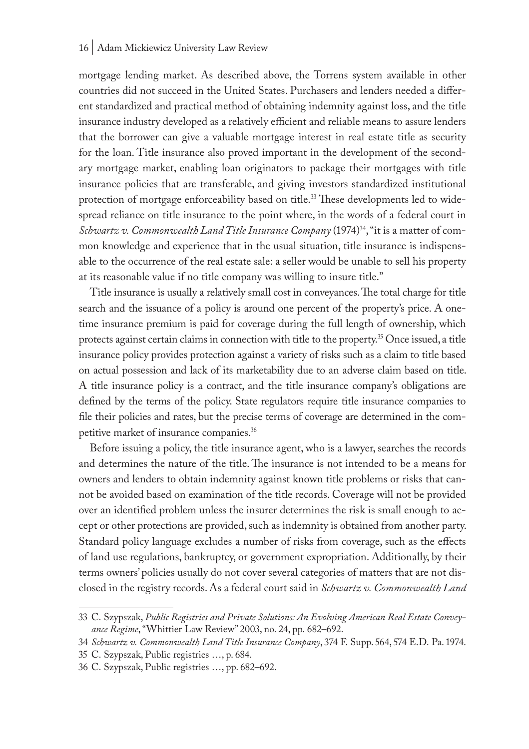mortgage lending market. As described above, the Torrens system available in other countries did not succeed in the United States. Purchasers and lenders needed a different standardized and practical method of obtaining indemnity against loss, and the title insurance industry developed as a relatively efficient and reliable means to assure lenders that the borrower can give a valuable mortgage interest in real estate title as security for the loan. Title insurance also proved important in the development of the secondary mortgage market, enabling loan originators to package their mortgages with title insurance policies that are transferable, and giving investors standardized institutional protection of mortgage enforceability based on title.<sup>33</sup> These developments led to widespread reliance on title insurance to the point where, in the words of a federal court in *Schwartz v. Commonwealth Land Title Insurance Company* (1974)34, "it is a matter of common knowledge and experience that in the usual situation, title insurance is indispensable to the occurrence of the real estate sale: a seller would be unable to sell his property at its reasonable value if no title company was willing to insure title."

Title insurance is usually a relatively small cost in conveyances. The total charge for title search and the issuance of a policy is around one percent of the property's price. A onetime insurance premium is paid for coverage during the full length of ownership, which protects against certain claims in connection with title to the property.<sup>35</sup> Once issued, a title insurance policy provides protection against a variety of risks such as a claim to title based on actual possession and lack of its marketability due to an adverse claim based on title. A title insurance policy is a contract, and the title insurance company's obligations are defined by the terms of the policy. State regulators require title insurance companies to file their policies and rates, but the precise terms of coverage are determined in the competitive market of insurance companies.36

Before issuing a policy, the title insurance agent, who is a lawyer, searches the records and determines the nature of the title. The insurance is not intended to be a means for owners and lenders to obtain indemnity against known title problems or risks that cannot be avoided based on examination of the title records. Coverage will not be provided over an identified problem unless the insurer determines the risk is small enough to accept or other protections are provided, such as indemnity is obtained from another party. Standard policy language excludes a number of risks from coverage, such as the effects of land use regulations, bankruptcy, or government expropriation. Additionally, by their terms owners' policies usually do not cover several categories of matters that are not disclosed in the registry records. As a federal court said in *Schwartz v. Commonwealth Land* 

<sup>33</sup> C. Szypszak, *Public Registries and Private Solutions: An Evolving American Real Estate Conveyance Regime*, "Whittier Law Review" 2003, no. 24, pp. 682–692.

<sup>34</sup> *Schwartz v. Commonwealth Land Title Insurance Company*, 374 F. Supp. 564, 574 E.D. Pa. 1974.

<sup>35</sup> C. Szypszak, Public registries …, p. 684.

<sup>36</sup> C. Szypszak, Public registries …, pp. 682–692.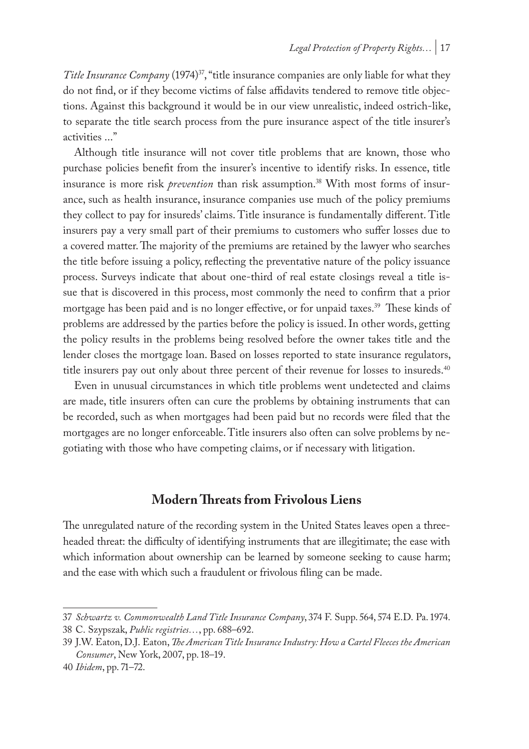*Title Insurance Company* (1974)<sup>37</sup>, "title insurance companies are only liable for what they do not find, or if they become victims of false affidavits tendered to remove title objections. Against this background it would be in our view unrealistic, indeed ostrich-like, to separate the title search process from the pure insurance aspect of the title insurer's activities ..."

Although title insurance will not cover title problems that are known, those who purchase policies benefit from the insurer's incentive to identify risks. In essence, title insurance is more risk *prevention* than risk assumption.<sup>38</sup> With most forms of insurance, such as health insurance, insurance companies use much of the policy premiums they collect to pay for insureds' claims. Title insurance is fundamentally different. Title insurers pay a very small part of their premiums to customers who suffer losses due to a covered matter. The majority of the premiums are retained by the lawyer who searches the title before issuing a policy, reflecting the preventative nature of the policy issuance process. Surveys indicate that about one-third of real estate closings reveal a title issue that is discovered in this process, most commonly the need to confirm that a prior mortgage has been paid and is no longer effective, or for unpaid taxes.39 These kinds of problems are addressed by the parties before the policy is issued. In other words, getting the policy results in the problems being resolved before the owner takes title and the lender closes the mortgage loan. Based on losses reported to state insurance regulators, title insurers pay out only about three percent of their revenue for losses to insureds.<sup>40</sup>

Even in unusual circumstances in which title problems went undetected and claims are made, title insurers often can cure the problems by obtaining instruments that can be recorded, such as when mortgages had been paid but no records were filed that the mortgages are no longer enforceable. Title insurers also often can solve problems by negotiating with those who have competing claims, or if necessary with litigation.

### **Modern Threats from Frivolous Liens**

The unregulated nature of the recording system in the United States leaves open a threeheaded threat: the difficulty of identifying instruments that are illegitimate; the ease with which information about ownership can be learned by someone seeking to cause harm; and the ease with which such a fraudulent or frivolous filing can be made.

<sup>37</sup> *Schwartz v. Commonwealth Land Title Insurance Company*, 374 F. Supp. 564, 574 E.D. Pa. 1974.

<sup>38</sup> C. Szypszak, *Public registries…*, pp. 688–692.

<sup>39</sup> J.W. Eaton, D.J. Eaton, *The American Title Insurance Industry: How a Cartel Fleeces the American Consumer*, New York, 2007, pp. 18–19.

<sup>40</sup> *Ibidem*, pp. 71–72.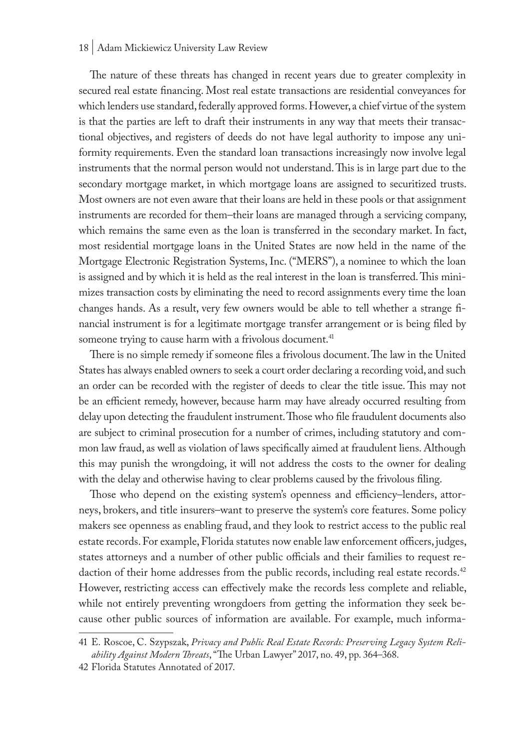The nature of these threats has changed in recent years due to greater complexity in secured real estate financing. Most real estate transactions are residential conveyances for which lenders use standard, federally approved forms. However, a chief virtue of the system is that the parties are left to draft their instruments in any way that meets their transactional objectives, and registers of deeds do not have legal authority to impose any uniformity requirements. Even the standard loan transactions increasingly now involve legal instruments that the normal person would not understand. This is in large part due to the secondary mortgage market, in which mortgage loans are assigned to securitized trusts. Most owners are not even aware that their loans are held in these pools or that assignment instruments are recorded for them–their loans are managed through a servicing company, which remains the same even as the loan is transferred in the secondary market. In fact, most residential mortgage loans in the United States are now held in the name of the Mortgage Electronic Registration Systems, Inc. ("MERS"), a nominee to which the loan is assigned and by which it is held as the real interest in the loan is transferred. This minimizes transaction costs by eliminating the need to record assignments every time the loan changes hands. As a result, very few owners would be able to tell whether a strange financial instrument is for a legitimate mortgage transfer arrangement or is being filed by someone trying to cause harm with a frivolous document.<sup>41</sup>

There is no simple remedy if someone files a frivolous document. The law in the United States has always enabled owners to seek a court order declaring a recording void, and such an order can be recorded with the register of deeds to clear the title issue. This may not be an efficient remedy, however, because harm may have already occurred resulting from delay upon detecting the fraudulent instrument. Those who file fraudulent documents also are subject to criminal prosecution for a number of crimes, including statutory and common law fraud, as well as violation of laws specifically aimed at fraudulent liens. Although this may punish the wrongdoing, it will not address the costs to the owner for dealing with the delay and otherwise having to clear problems caused by the frivolous filing.

Those who depend on the existing system's openness and efficiency–lenders, attorneys, brokers, and title insurers–want to preserve the system's core features. Some policy makers see openness as enabling fraud, and they look to restrict access to the public real estate records. For example, Florida statutes now enable law enforcement officers, judges, states attorneys and a number of other public officials and their families to request redaction of their home addresses from the public records, including real estate records.<sup>42</sup> However, restricting access can effectively make the records less complete and reliable, while not entirely preventing wrongdoers from getting the information they seek because other public sources of information are available. For example, much informa-

<sup>41</sup> E. Roscoe, C. Szypszak, *Privacy and Public Real Estate Records: Preserving Legacy System Reliability Against Modern Threats*, "The Urban Lawyer" 2017, no. 49, pp. 364–368.

<sup>42</sup> Florida Statutes Annotated of 2017.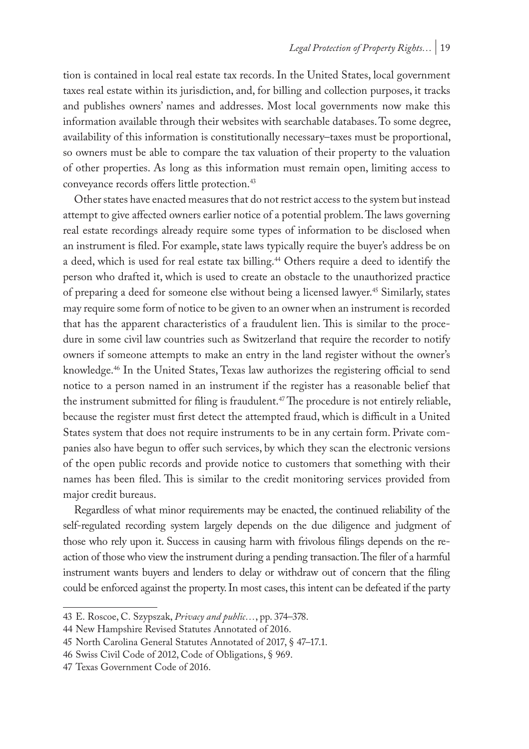tion is contained in local real estate tax records. In the United States, local government taxes real estate within its jurisdiction, and, for billing and collection purposes, it tracks and publishes owners' names and addresses. Most local governments now make this information available through their websites with searchable databases. To some degree, availability of this information is constitutionally necessary–taxes must be proportional, so owners must be able to compare the tax valuation of their property to the valuation of other properties. As long as this information must remain open, limiting access to conveyance records offers little protection.<sup>43</sup>

Other states have enacted measures that do not restrict access to the system but instead attempt to give affected owners earlier notice of a potential problem. The laws governing real estate recordings already require some types of information to be disclosed when an instrument is filed. For example, state laws typically require the buyer's address be on a deed, which is used for real estate tax billing.<sup>44</sup> Others require a deed to identify the person who drafted it, which is used to create an obstacle to the unauthorized practice of preparing a deed for someone else without being a licensed lawyer.45 Similarly, states may require some form of notice to be given to an owner when an instrument is recorded that has the apparent characteristics of a fraudulent lien. This is similar to the procedure in some civil law countries such as Switzerland that require the recorder to notify owners if someone attempts to make an entry in the land register without the owner's knowledge.46 In the United States, Texas law authorizes the registering official to send notice to a person named in an instrument if the register has a reasonable belief that the instrument submitted for filing is fraudulent.47 The procedure is not entirely reliable, because the register must first detect the attempted fraud, which is difficult in a United States system that does not require instruments to be in any certain form. Private companies also have begun to offer such services, by which they scan the electronic versions of the open public records and provide notice to customers that something with their names has been filed. This is similar to the credit monitoring services provided from major credit bureaus.

Regardless of what minor requirements may be enacted, the continued reliability of the self-regulated recording system largely depends on the due diligence and judgment of those who rely upon it. Success in causing harm with frivolous filings depends on the reaction of those who view the instrument during a pending transaction. The filer of a harmful instrument wants buyers and lenders to delay or withdraw out of concern that the filing could be enforced against the property. In most cases, this intent can be defeated if the party

<sup>43</sup> E. Roscoe, C. Szypszak, *Privacy and public…*, pp. 374–378.

<sup>44</sup> New Hampshire Revised Statutes Annotated of 2016.

<sup>45</sup> North Carolina General Statutes Annotated of 2017, § 47–17.1.

<sup>46</sup> Swiss Civil Code of 2012, Code of Obligations, § 969.

<sup>47</sup> Texas Government Code of 2016.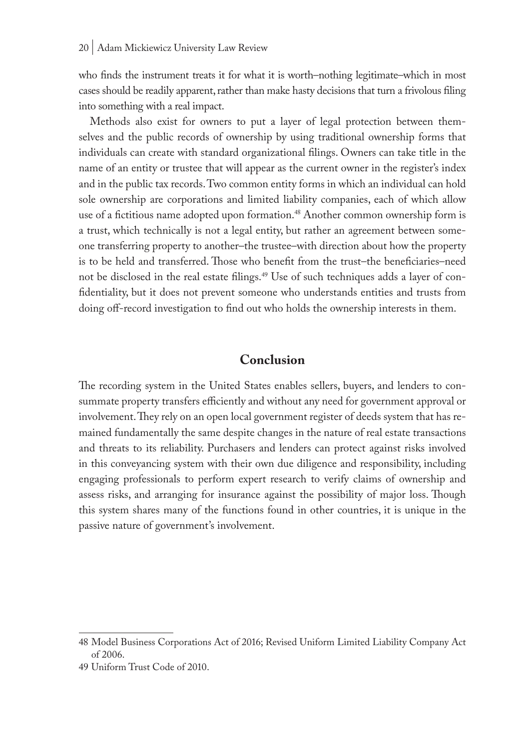who finds the instrument treats it for what it is worth–nothing legitimate–which in most cases should be readily apparent, rather than make hasty decisions that turn a frivolous filing into something with a real impact.

Methods also exist for owners to put a layer of legal protection between themselves and the public records of ownership by using traditional ownership forms that individuals can create with standard organizational filings. Owners can take title in the name of an entity or trustee that will appear as the current owner in the register's index and in the public tax records. Two common entity forms in which an individual can hold sole ownership are corporations and limited liability companies, each of which allow use of a fictitious name adopted upon formation.48 Another common ownership form is a trust, which technically is not a legal entity, but rather an agreement between someone transferring property to another–the trustee–with direction about how the property is to be held and transferred. Those who benefit from the trust–the beneficiaries–need not be disclosed in the real estate filings.<sup>49</sup> Use of such techniques adds a layer of confidentiality, but it does not prevent someone who understands entities and trusts from doing off-record investigation to find out who holds the ownership interests in them.

### **Conclusion**

The recording system in the United States enables sellers, buyers, and lenders to consummate property transfers efficiently and without any need for government approval or involvement. They rely on an open local government register of deeds system that has remained fundamentally the same despite changes in the nature of real estate transactions and threats to its reliability. Purchasers and lenders can protect against risks involved in this conveyancing system with their own due diligence and responsibility, including engaging professionals to perform expert research to verify claims of ownership and assess risks, and arranging for insurance against the possibility of major loss. Though this system shares many of the functions found in other countries, it is unique in the passive nature of government's involvement.

<sup>48</sup> Model Business Corporations Act of 2016; Revised Uniform Limited Liability Company Act of 2006.

<sup>49</sup> Uniform Trust Code of 2010.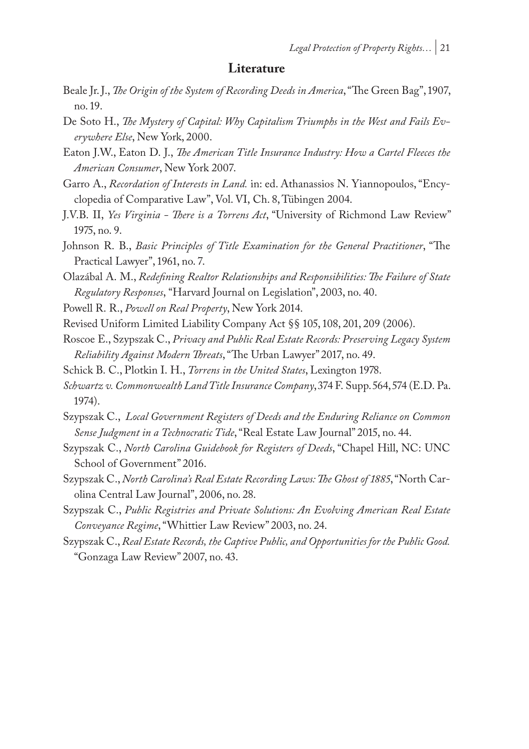### **Literature**

- Beale Jr. J., *The Origin of the System of Recording Deeds in America*, "The Green Bag", 1907, no. 19.
- De Soto H., *The Mystery of Capital: Why Capitalism Triumphs in the West and Fails Everywhere Else*, New York, 2000.
- Eaton J.W., Eaton D. J., *The American Title Insurance Industry: How a Cartel Fleeces the American Consumer*, New York 2007.
- Garro A., *Recordation of Interests in Land.* in: ed. Athanassios N. Yiannopoulos, "Encyclopedia of Comparative Law", Vol. VI, Ch. 8, Tübingen 2004.
- J.V.B. II, *Yes Virginia There is a Torrens Act*, "University of Richmond Law Review" 1975, no. 9.
- Johnson R. B., *Basic Principles of Title Examination for the General Practitioner*, "The Practical Lawyer", 1961, no. 7.
- Olazábal A. M., *Redefining Realtor Relationships and Responsibilities: The Failure of State Regulatory Responses*, "Harvard Journal on Legislation", 2003, no. 40.
- Powell R. R., *Powell on Real Property*, New York 2014.
- Revised Uniform Limited Liability Company Act §§ 105, 108, 201, 209 (2006).
- Roscoe E., Szypszak C., *Privacy and Public Real Estate Records: Preserving Legacy System Reliability Against Modern Threats*, "The Urban Lawyer" 2017, no. 49.
- Schick B. C., Plotkin I. H., *Torrens in the United States*, Lexington 1978.
- *Schwartz v. Commonwealth Land Title Insurance Company*, 374 F. Supp. 564, 574 (E.D. Pa. 1974).
- Szypszak C., *Local Government Registers of Deeds and the Enduring Reliance on Common Sense Judgment in a Technocratic Tide*, "Real Estate Law Journal" 2015, no. 44.
- Szypszak C., *North Carolina Guidebook for Registers of Deeds*, "Chapel Hill, NC: UNC School of Government" 2016.
- Szypszak C., *North Carolina's Real Estate Recording Laws: The Ghost of 1885*, "North Carolina Central Law Journal", 2006, no. 28.
- Szypszak C., *Public Registries and Private Solutions: An Evolving American Real Estate Conveyance Regime*, "Whittier Law Review" 2003, no. 24.
- Szypszak C., *Real Estate Records, the Captive Public, and Opportunities for the Public Good.* "Gonzaga Law Review" 2007, no. 43.